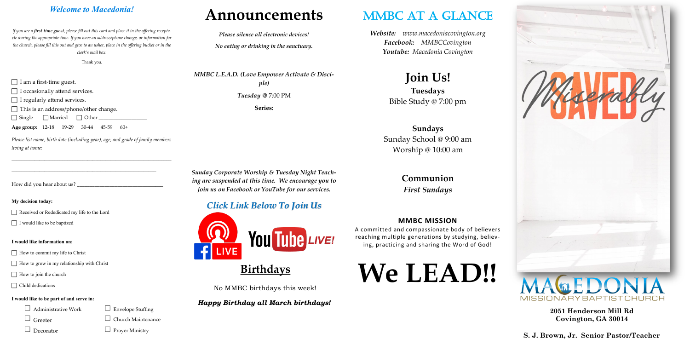### *Welcome to Macedonia!*

*If you are a first time guest, please fill out this card and place it in the offering receptacle during the appropriate time. If you have an address/phone change, or information for the church, please fill this out and give to an usher, place in the offering bucket or in the clerk's mail box.* 

Thank you.

 $\Box$  I am a first-time guest.

□ I occasionally attend services.

 $\Box$  I regularly attend services.

 $\Box$  This is an address/phone/other change.

 $\Box$  Single  $\Box$  Married  $\Box$  Other

**Age group:** 12-18 19-29 30-44 45-59 60+

*Please list name, birth date (including year), age, and grade of family members living at home:*

 $\mathcal{L}_\text{max} = \frac{1}{2} \sum_{i=1}^n \mathcal{L}_\text{max}(\mathbf{z}_i - \mathbf{z}_i)$ 

How did you hear about us?

#### **My decision today:**

Received or Rededicated my life to the Lord

 $\Box$  I would like to be baptized

#### **I would like information on:**

 $\Box$  How to commit my life to Christ

 $\Box$  How to grow in my relationship with Christ

 $\Box$  How to join the church

□ Child dedications

#### **I would like to be part of and serve in:**

 $\Box$  Administrative Work  $\Box$  Envelope Stuffing

 $\Box$  Greeter  $\Box$  Church Maintenance

 $\Box$  Decorator  $\Box$  Prayer Ministry

# **Announcements**

*Please silence all electronic devices!*

*No eating or drinking in the sanctuary.*

*MMBC L.E.A.D. (Love Empower Activate & Disciple)*

*Tuesday @* 7:00 PM

**Series:**

*Sunday Corporate Worship & Tuesday Night Teaching are suspended at this time. We encourage you to join us on Facebook or YouTube for our services.*

### *Click Link Below To Join Us*



# **Birthdays**

No MMBC birthdays this week!

### *Happy Birthday all March birthdays!*

# MMBC AT A GLANCE

*Website: www.macedoniacovington.org Facebook: MMBCCovington Youtube: Macedonia Covington*

### **Join Us! Tuesdays** Bible Study @ 7:00 pm

### **Sundays** Sunday School @ 9:00 am Worship @ 10:00 am

**Communion** *First Sundays*

#### **MMBC MISSION**

A committed and compassionate body of believers reaching multiple generations by studying, believing, practicing and sharing the Word of God!

# **We LEAD!!**





**2051 Henderson Mill Rd Covington, GA 30014**

**S. J. Brown, Jr. Senior Pastor/Teacher**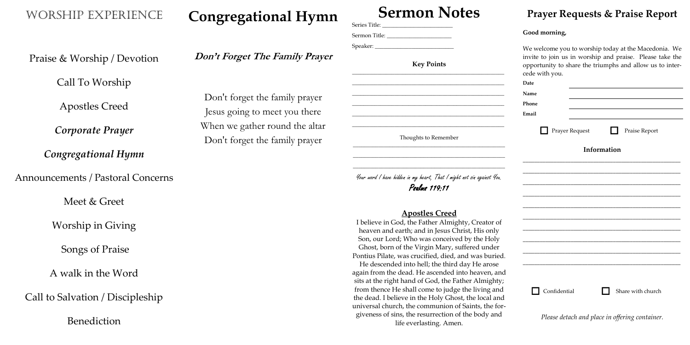Worship Experience

Praise & Worship / Devotion

Call To Worship

Apostles Creed

*Corporate Prayer*

*Congregational Hymn*

Announcements / Pastoral Concerns

Meet & Greet

Worship in Giving

Songs of Praise

A walk in the Word

Call to Salvation / Discipleship

Benediction

# **Congregational Hymn**

### **Don't Forget The Family Prayer**

Don't forget the family prayer Jesus going to meet you there When we gather round the altar Don't forget the family prayer

# **Sermon Notes**

Series Title: \_\_\_\_\_\_\_\_\_\_\_\_\_\_\_\_\_\_\_\_\_\_\_\_\_ Sermon Title: Speaker: **Key Points** \_\_\_\_\_\_\_\_\_\_\_\_\_\_\_\_\_\_\_\_\_\_\_\_\_\_\_\_\_\_\_\_\_\_\_\_\_\_\_\_\_\_\_\_\_\_\_\_\_\_\_\_\_\_ \_\_\_\_\_\_\_\_\_\_\_\_\_\_\_\_\_\_\_\_\_\_\_\_\_\_\_\_\_\_\_\_\_\_\_\_\_\_\_\_\_\_\_\_\_\_\_\_\_\_\_\_\_\_ \_\_\_\_\_\_\_\_\_\_\_\_\_\_\_\_\_\_\_\_\_\_\_\_\_\_\_\_\_\_\_\_\_\_\_\_\_\_\_\_\_\_\_\_\_\_\_\_\_\_\_\_\_\_ \_\_\_\_\_\_\_\_\_\_\_\_\_\_\_\_\_\_\_\_\_\_\_\_\_\_\_\_\_\_\_\_\_\_\_\_\_\_\_\_\_\_\_\_\_\_\_\_\_\_\_\_\_\_ \_\_\_\_\_\_\_\_\_\_\_\_\_\_\_\_\_\_\_\_\_\_\_\_\_\_\_\_\_\_\_\_\_\_\_\_\_\_\_\_\_\_\_\_\_\_\_\_\_\_\_\_\_\_ \_\_\_\_\_\_\_\_\_\_\_\_\_\_\_\_\_\_\_\_\_\_\_\_\_\_\_\_\_\_\_\_\_\_\_\_\_\_\_\_\_\_\_\_\_\_\_\_\_\_\_\_\_\_ Thoughts to Remember \_\_\_\_\_\_\_\_\_\_\_\_\_\_\_\_\_\_\_\_\_\_\_\_\_\_\_\_\_\_\_\_\_\_\_\_\_\_\_\_\_\_\_\_\_\_\_\_\_\_\_\_\_\_ \_\_\_\_\_\_\_\_\_\_\_\_\_\_\_\_\_\_\_\_\_\_\_\_\_\_\_\_\_\_\_\_\_\_\_\_\_\_\_\_\_\_\_\_\_\_\_\_\_\_\_\_\_\_ \_\_\_\_\_\_\_\_\_\_\_\_\_\_\_\_\_\_\_\_\_\_\_\_\_\_\_\_\_\_\_\_\_\_\_\_\_\_\_\_\_\_\_\_\_\_\_\_\_\_\_\_\_\_

| <b>Date</b> |   |                     |  |  |      |  |                              |  |
|-------------|---|---------------------|--|--|------|--|------------------------------|--|
| Name        |   |                     |  |  |      |  |                              |  |
| Phone       |   |                     |  |  |      |  |                              |  |
| Email       |   |                     |  |  |      |  |                              |  |
|             | Ш |                     |  |  |      |  | Prayer Request Praise Report |  |
| Information |   |                     |  |  |      |  |                              |  |
|             |   |                     |  |  |      |  |                              |  |
|             |   |                     |  |  |      |  |                              |  |
|             |   |                     |  |  |      |  |                              |  |
|             |   |                     |  |  |      |  |                              |  |
|             |   |                     |  |  |      |  |                              |  |
|             |   |                     |  |  |      |  |                              |  |
|             |   |                     |  |  |      |  |                              |  |
|             |   |                     |  |  |      |  |                              |  |
|             |   |                     |  |  |      |  |                              |  |
|             |   |                     |  |  |      |  |                              |  |
|             |   |                     |  |  |      |  |                              |  |
|             |   | $\Box$ Confidential |  |  | n di |  | Share with church            |  |
|             |   |                     |  |  |      |  |                              |  |

Your word I have hidden in my heart, That I might not sin against You. Psalms 119:11

### **Apostles Creed**

I believe in God, the Father Almighty, Creator of heaven and earth; and in Jesus Christ, His only Son, our Lord; Who was conceived by the Holy Ghost, born of the Virgin Mary, suffered under Pontius Pilate, was crucified, died, and was buried. He descended into hell; the third day He arose again from the dead. He ascended into heaven, and sits at the right hand of God, the Father Almighty; from thence He shall come to judge the living and the dead. I believe in the Holy Ghost, the local and universal church, the communion of Saints, the forgiveness of sins, the resurrection of the body and life everlasting. Amen.

### **Prayer Requests & Praise Report**

#### **Good morning,**

We welcome you to worship today at the Macedonia. We invite to join us in worship and praise. Please take the opportunity to share the triumphs and allow us to intercede with you.

*Please detach and place in offering container.*